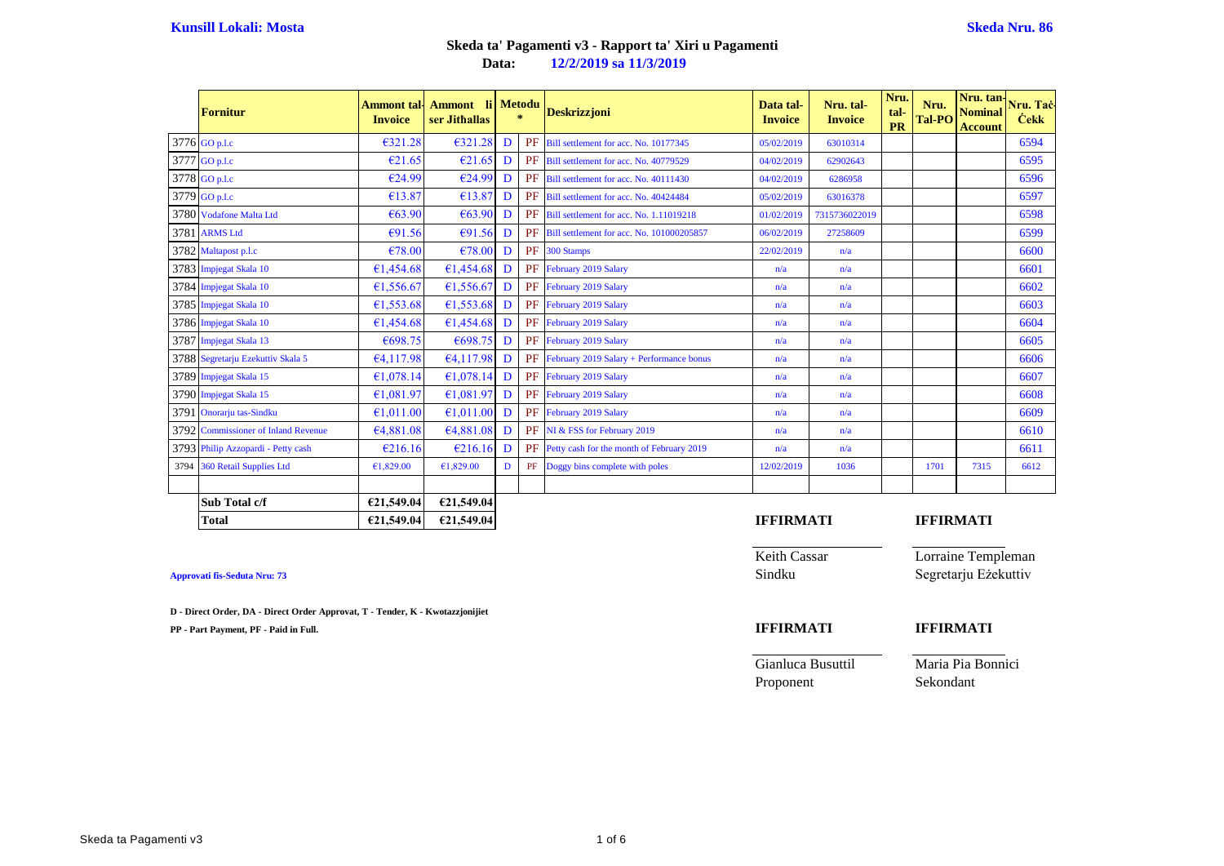### **Skeda ta' Pagamenti v3 - Rapport ta' Xiri u Pagamenti**

**Data: 12/2/2019 sa 11/3/2019**

|      | <b>Fornitur</b>                     | <b>Invoice</b> | <b>Ammont tal. Ammont</b> li Metodu<br>ser Jithallas |              | $\ast$ | <b>Deskrizzjoni</b>                       | Data tal-<br><b>Invoice</b> | Nru. tal-<br><b>Invoice</b> | Nru.<br>tal-<br><b>PR</b> | Nru.<br><b>Tal-PO</b> | Nru. tan-<br><b>Nominal</b><br><b>Account</b> | Nru. Tac-<br><b>Cekk</b> |
|------|-------------------------------------|----------------|------------------------------------------------------|--------------|--------|-------------------------------------------|-----------------------------|-----------------------------|---------------------------|-----------------------|-----------------------------------------------|--------------------------|
|      | 3776 GO p.l.c                       | €321.28        | €321.28                                              | D            | PF     | Bill settlement for acc. No. 10177345     | 05/02/2019                  | 63010314                    |                           |                       |                                               | 6594                     |
|      | 3777 GO p.l.c                       | €21.65         | €21.65                                               | D            | PF     | Bill settlement for acc. No. 40779529     | 04/02/2019                  | 62902643                    |                           |                       |                                               | 6595                     |
|      | 3778 GO p.l.c                       | €24.99         | €24.99                                               | D            | PF     | Bill settlement for acc. No. 40111430     | 04/02/2019                  | 6286958                     |                           |                       |                                               | 6596                     |
|      | 3779 GO p.l.c                       | €13.87         | €13.87                                               | D            | PF     | Bill settlement for acc. No. 40424484     | 05/02/2019                  | 63016378                    |                           |                       |                                               | 6597                     |
|      | 3780 Vodafone Malta Ltd             | €63.90         | €63.90                                               | D            | PF     | Bill settlement for acc. No. 1.11019218   | 01/02/2019                  | 7315736022019               |                           |                       |                                               | 6598                     |
|      | 3781 ARMS Ltd                       | €91.56         | €91.56                                               | D            | PF     | Bill settlement for acc. No. 101000205857 | 06/02/2019                  | 27258609                    |                           |                       |                                               | 6599                     |
|      | 3782 Maltapost p.l.c                | €78.00         | €78.00                                               | D            | PF     | 300 Stamps                                | 22/02/2019                  | n/a                         |                           |                       |                                               | 6600                     |
|      | 3783 Impjegat Skala 10              | €1,454.68      | €1,454.68                                            | D            | PF     | February 2019 Salary                      | n/a                         | n/a                         |                           |                       |                                               | 6601                     |
|      | 3784 Impjegat Skala 10              | €1,556.67      | €1,556.67                                            | D            | PF     | February 2019 Salary                      | n/a                         | n/a                         |                           |                       |                                               | 6602                     |
|      | 3785 Impjegat Skala 10              | €1,553.68      | €1,553.68                                            | D            | PF     | February 2019 Salary                      | n/a                         | n/a                         |                           |                       |                                               | 6603                     |
|      | 3786 Impjegat Skala 10              | €1,454.68      | €1,454.68                                            | D            | PF     | February 2019 Salary                      | n/a                         | n/a                         |                           |                       |                                               | 6604                     |
|      | 3787 Impjegat Skala 13              | €698.75        | €698.75                                              | D            | PF     | February 2019 Salary                      | n/a                         | n/a                         |                           |                       |                                               | 6605                     |
|      | 3788 Segretarju Ezekuttiv Skala 5   | €4,117.98      | €4,117.98                                            | D            | PF     | February 2019 Salary + Performance bonus  | n/a                         | n/a                         |                           |                       |                                               | 6606                     |
|      | 3789 Impjegat Skala 15              | €1,078.14      | €1,078.14 D                                          |              | PF     | February 2019 Salary                      | n/a                         | n/a                         |                           |                       |                                               | 6607                     |
|      | 3790 Impjegat Skala 15              | €1,081.97      | €1,081.97                                            | D            | PF     | February 2019 Salary                      | n/a                         | n/a                         |                           |                       |                                               | 6608                     |
|      | 3791 Onorarju tas-Sindku            | €1,011.00      | €1,011.00                                            | D            | PF     | February 2019 Salary                      | n/a                         | n/a                         |                           |                       |                                               | 6609                     |
|      | 3792 Commissioner of Inland Revenue | €4,881.08      | €4,881.08                                            | D            | PF     | NI & FSS for February 2019                | n/a                         | n/a                         |                           |                       |                                               | 6610                     |
|      | 3793 Philip Azzopardi - Petty cash  | €216.16        | €216.16                                              | $\mathbf{D}$ | PF     | Petty cash for the month of February 2019 | n/a                         | n/a                         |                           |                       |                                               | 6611                     |
| 3794 | 360 Retail Supplies Ltd             | £1,829.00      | £1,829.00                                            | D            | PF     | Doggy bins complete with poles            | 12/02/2019                  | 1036                        |                           | 1701                  | 7315                                          | 6612                     |
|      |                                     |                |                                                      |              |        |                                           |                             |                             |                           |                       |                                               |                          |
|      | Sub Total c/f                       | €21,549.04     | €21,549.04                                           |              |        |                                           |                             |                             |                           |                       |                                               |                          |
|      | <b>Total</b>                        | €21,549.04     | €21,549.04                                           |              |        |                                           | <b>IFFIRMATI</b>            |                             |                           | <b>IFFIRMATI</b>      |                                               |                          |

**D - Direct Order, DA - Direct Order Approvat, T - Tender, K - Kwotazzjonijiet**

**PP - Part Payment, PF - Paid in Full. IFFIRMATI IFFIRMATI**

Keith Cassar Lorraine Templeman

## Approvati fis-Seduta Nru: 73 Sindku Segretarju Eżekuttiv

Gianluca Busuttil Maria Pia Bonnici Proponent Sekondant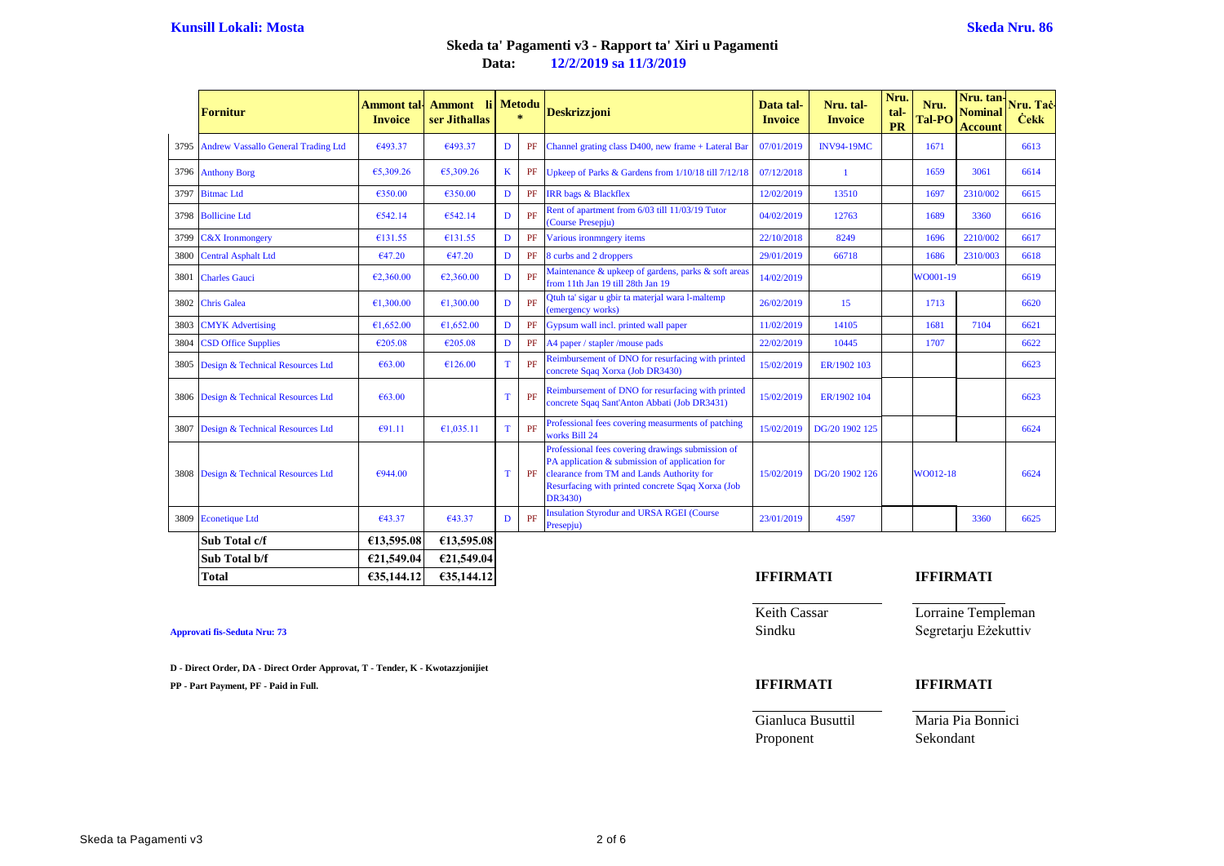|      | <b>Fornitur</b>                          | Ammont tal·<br><b>Invoice</b> | <b>Ammont</b> li Metodu<br>ser Jithallas |              | $\ast$ | <b>Deskrizzjoni</b>                                                                                                                                                                                              | Data tal-<br><b>Invoice</b> | Nru. tal-<br><b>Invoice</b> | Nru.<br>tal-<br><b>PR</b> | Nru.<br>Tal-PO   | Nru. tan-<br><b>Nominal</b><br><b>Account</b> | Nru. Taċ<br><b>Cekk</b> |
|------|------------------------------------------|-------------------------------|------------------------------------------|--------------|--------|------------------------------------------------------------------------------------------------------------------------------------------------------------------------------------------------------------------|-----------------------------|-----------------------------|---------------------------|------------------|-----------------------------------------------|-------------------------|
|      | 3795 Andrew Vassallo General Trading Ltd | €493.37                       | €493.37                                  | D            | PF     | Channel grating class D400, new frame + Lateral Bar                                                                                                                                                              | 07/01/2019                  | <b>INV94-19MC</b>           |                           | 1671             |                                               | 6613                    |
|      | 3796 Anthony Borg                        | €5,309.26                     | €5,309.26                                | $\bf K$      | PF     | Upkeep of Parks & Gardens from 1/10/18 till 7/12/18                                                                                                                                                              | 07/12/2018                  | $\mathbf{1}$                |                           | 1659             | 3061                                          | 6614                    |
| 3797 | <b>Bitmac Ltd</b>                        | €350.00                       | €350.00                                  | $\mathbf D$  | PF     | <b>IRR</b> bags & Blackflex                                                                                                                                                                                      | 12/02/2019                  | 13510                       |                           | 1697             | 2310/002                                      | 6615                    |
|      | 3798 Bollicine Ltd                       | €542.14                       | €542.14                                  | D            | PF     | Rent of apartment from 6/03 till 11/03/19 Tutor<br>(Course Presepju)                                                                                                                                             | 04/02/2019                  | 12763                       |                           | 1689             | 3360                                          | 6616                    |
| 3799 | <b>C&amp;X</b> Ironmongery               | €131.55                       | €131.55                                  | $\mathbf D$  | PF     | Various ironmngery items                                                                                                                                                                                         | 22/10/2018                  | 8249                        |                           | 1696             | 2210/002                                      | 6617                    |
| 3800 | <b>Central Asphalt Ltd</b>               | €47.20                        | €47.20                                   | D            | PF     | 8 curbs and 2 droppers                                                                                                                                                                                           | 29/01/2019                  | 66718                       |                           | 1686             | 2310/003                                      | 6618                    |
| 3801 | <b>Charles Gauci</b>                     | €2,360.00                     | E2,360.00                                | D            | PF     | Maintenance & upkeep of gardens, parks & soft areas<br>from 11th Jan 19 till 28th Jan 19                                                                                                                         | 14/02/2019                  |                             |                           | WO001-19         |                                               | 6619                    |
|      | 3802 Chris Galea                         | €1,300.00                     | €1,300.00                                | D            | PF     | Otuh ta' sigar u gbir ta materjal wara l-maltemp<br>(emergency works)                                                                                                                                            | 26/02/2019                  | 15                          |                           | 1713             |                                               | 6620                    |
| 3803 | <b>CMYK</b> Advertising                  | €1.652.00                     | €1.652.00                                | D            | PF     | Gypsum wall incl. printed wall paper                                                                                                                                                                             | 11/02/2019                  | 14105                       |                           | 1681             | 7104                                          | 6621                    |
| 3804 | <b>CSD Office Supplies</b>               | €205.08                       | €205.08                                  | D            | PF     | A4 paper / stapler /mouse pads                                                                                                                                                                                   | 22/02/2019                  | 10445                       |                           | 1707             |                                               | 6622                    |
|      | 3805 Design & Technical Resources Ltd    | €63.00                        | €126.00                                  | T            | PF     | Reimbursement of DNO for resurfacing with printed<br>concrete Sqaq Xorxa (Job DR3430)                                                                                                                            | 15/02/2019                  | ER/1902 103                 |                           |                  |                                               | 6623                    |
|      | 3806 Design & Technical Resources Ltd    | €63.00                        |                                          | <sup>T</sup> | PF     | Reimbursement of DNO for resurfacing with printed<br>concrete Sqaq Sant'Anton Abbati (Job DR3431)                                                                                                                | 15/02/2019                  | ER/1902 104                 |                           |                  |                                               | 6623                    |
|      | 3807 Design & Technical Resources Ltd    | E91.11                        | €1,035.11                                | T            | PF     | Professional fees covering measurments of patching<br>works Bill 24                                                                                                                                              | 15/02/2019                  | DG/20 1902 125              |                           |                  |                                               | 6624                    |
|      | 3808 Design & Technical Resources Ltd    | €944.00                       |                                          | T            | PF     | Professional fees covering drawings submission of<br>PA application & submission of application for<br>clearance from TM and Lands Authority for<br>Resurfacing with printed concrete Sqaq Xorxa (Job<br>DR3430) | 15/02/2019                  | DG/20 1902 126              |                           | WO012-18         |                                               | 6624                    |
|      | 3809 Econetique Ltd                      | €43.37                        | €43.37                                   | D            | PF     | <b>Insulation Styrodur and URSA RGEI (Course</b><br>Presepju)                                                                                                                                                    | 23/01/2019                  | 4597                        |                           |                  | 3360                                          | 6625                    |
|      | Sub Total c/f                            | €13,595.08                    | €13,595.08                               |              |        |                                                                                                                                                                                                                  |                             |                             |                           |                  |                                               |                         |
|      | Sub Total b/f                            | €21.549.04                    | €21,549.04                               |              |        |                                                                                                                                                                                                                  |                             |                             |                           |                  |                                               |                         |
|      | Total                                    | €35,144.12                    | €35,144.12                               |              |        |                                                                                                                                                                                                                  | <b>IFFIRMATI</b>            |                             |                           | <b>IFFIRMATI</b> |                                               |                         |

**D - Direct Order, DA - Direct Order Approvat, T - Tender, K - Kwotazzjonijiet PP - Part Payment, PF - Paid in Full. IFFIRMATI IFFIRMATI**

## Keith Cassar Lorraine Templeman **Approvati fis-Seduta Nru: 73** Sindku Segretarju Eżekuttiv Gianluca Busuttil Maria Pia Bonnici Proponent Sekondant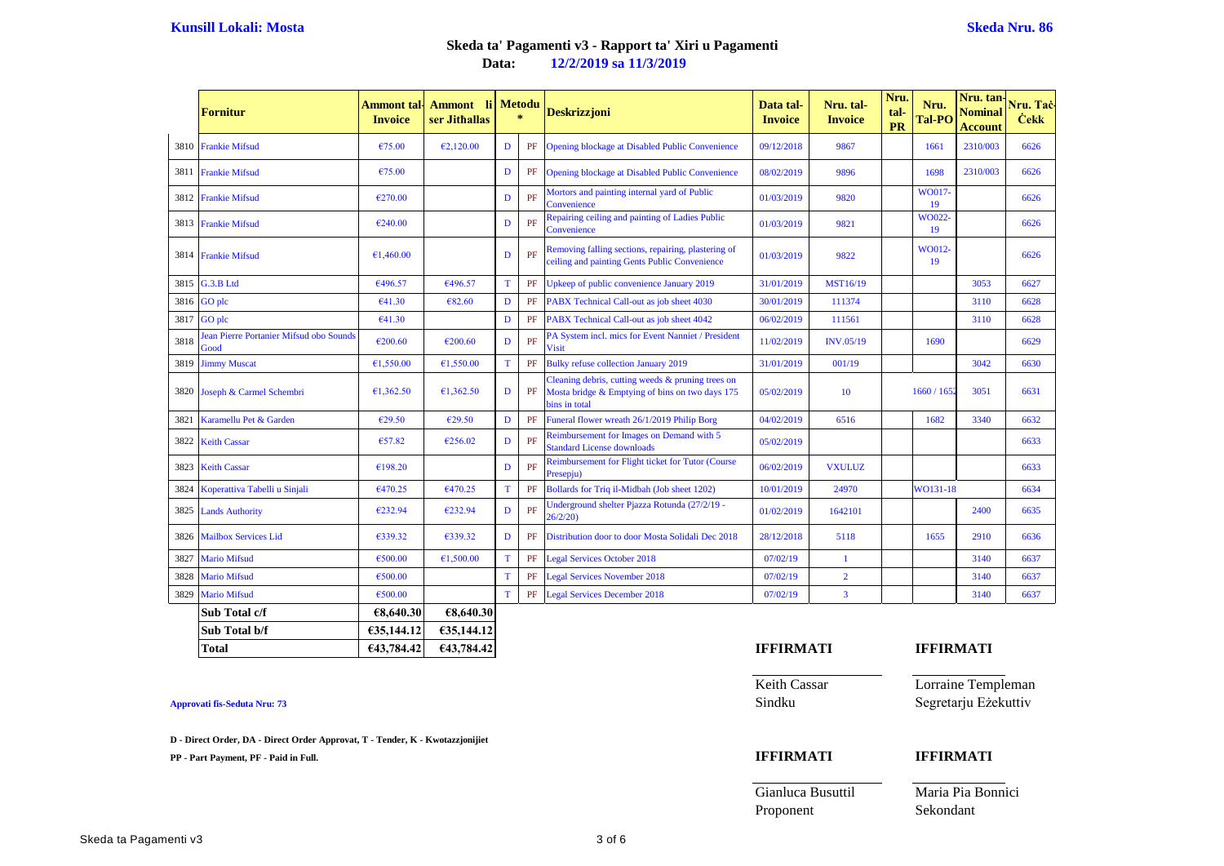|      | <b>Fornitur</b>                                 | Ammont tal<br><b>Invoice</b> | Ammont li<br>ser Jithallas |             | <b>Metodu</b><br>$\ast$ | <b>Deskrizzjoni</b>                                                                                                   | Data tal-<br><b>Invoice</b> | Nru. tal-<br><b>Invoice</b> | Nru.<br>tal-<br><b>PR</b> | Nru.<br>Tal-PO | Nru. tan<br><b>Nominal</b><br>Account | Nru. Taċ<br><b>Čekk</b> |
|------|-------------------------------------------------|------------------------------|----------------------------|-------------|-------------------------|-----------------------------------------------------------------------------------------------------------------------|-----------------------------|-----------------------------|---------------------------|----------------|---------------------------------------|-------------------------|
|      | 3810 Frankie Mifsud                             | €75.00                       | E2,120.00                  | D           | PF                      | Opening blockage at Disabled Public Convenience                                                                       | 09/12/2018                  | 9867                        |                           | 1661           | 2310/003                              | 6626                    |
|      | 3811 Frankie Mifsud                             | €75.00                       |                            | D           | PF                      | Opening blockage at Disabled Public Convenience                                                                       | 08/02/2019                  | 9896                        |                           | 1698           | 2310/003                              | 6626                    |
|      | 3812 Frankie Mifsud                             | €270.00                      |                            | D           | PF                      | Mortors and painting internal yard of Public<br>Convenience                                                           | 01/03/2019                  | 9820                        |                           | WO017-<br>19   |                                       | 6626                    |
|      | 3813 Frankie Mifsud                             | €240.00                      |                            | D           | PF                      | Repairing ceiling and painting of Ladies Public<br>Convenience                                                        | 01/03/2019                  | 9821                        |                           | WO022-<br>19   |                                       | 6626                    |
|      | 3814 Frankie Mifsud                             | €1,460,00                    |                            | D           | PF                      | Removing falling sections, repairing, plastering of<br>ceiling and painting Gents Public Convenience                  | 01/03/2019                  | 9822                        |                           | WO012-<br>19   |                                       | 6626                    |
| 3815 | G.3.B Ltd                                       | €496.57                      | €496.57                    | T           | PF                      | Upkeep of public convenience January 2019                                                                             | 31/01/2019                  | <b>MST16/19</b>             |                           |                | 3053                                  | 6627                    |
|      | 3816 GO plc                                     | €41.30                       | €82.60                     | D           | PF                      | PABX Technical Call-out as job sheet 4030                                                                             | 30/01/2019                  | 111374                      |                           |                | 3110                                  | 6628                    |
|      | 3817 GO plc                                     | 641.30                       |                            | D           | PF                      | PABX Technical Call-out as job sheet 4042                                                                             | 06/02/2019                  | 111561                      |                           |                | 3110                                  | 6628                    |
| 3818 | Jean Pierre Portanier Mifsud obo Sounds<br>Good | €200.60                      | €200.60                    | D           | PF                      | PA System incl. mics for Event Nanniet / President<br><b>Visit</b>                                                    | 11/02/2019                  | <b>INV.05/19</b>            |                           | 1690           |                                       | 6629                    |
|      | 3819 Jimmy Muscat                               | €1,550.00                    | €1,550.00                  | $\mathbf T$ | PF                      | <b>Bulky refuse collection January 2019</b>                                                                           | 31/01/2019                  | 001/19                      |                           |                | 3042                                  | 6630                    |
|      | 3820 Joseph & Carmel Schembri                   | €1,362.50                    | €1,362.50                  | D           | PF                      | Cleaning debris, cutting weeds & pruning trees on<br>Mosta bridge & Emptying of bins on two days 175<br>bins in total | 05/02/2019                  | 10                          |                           | 1660/1652      | 3051                                  | 6631                    |
| 3821 | Karamellu Pet & Garden                          | €29.50                       | €29.50                     | $\mathbf D$ | PF                      | Funeral flower wreath 26/1/2019 Philip Borg                                                                           | 04/02/2019                  | 6516                        |                           | 1682           | 3340                                  | 6632                    |
|      | 3822 Keith Cassar                               | €57.82                       | €256.02                    | D           | PF                      | Reimbursement for Images on Demand with 5<br><b>Standard License downloads</b>                                        | 05/02/2019                  |                             |                           |                |                                       | 6633                    |
|      | 3823 Keith Cassar                               | €198.20                      |                            | D           | PF                      | Reimbursement for Flight ticket for Tutor (Course<br>Presepju)                                                        | 06/02/2019                  | <b>VXULUZ</b>               |                           |                |                                       | 6633                    |
| 3824 | Koperattiva Tabelli u Sinjali                   | 6470.25                      | €470.25                    | $\mathbf T$ | PF                      | Bollards for Triq il-Midbah (Job sheet 1202)                                                                          | 10/01/2019                  | 24970                       |                           | WO131-18       |                                       | 6634                    |
|      | 3825 Lands Authority                            | €232.94                      | €232.94                    | D           | PF                      | Underground shelter Pjazza Rotunda (27/2/19 -<br>26/2/20                                                              | 01/02/2019                  | 1642101                     |                           |                | 2400                                  | 6635                    |
|      | 3826 Mailbox Services Lid                       | €339.32                      | €339.32                    | D           | PF                      | Distribution door to door Mosta Solidali Dec 2018                                                                     | 28/12/2018                  | 5118                        |                           | 1655           | 2910                                  | 6636                    |
| 3827 | Mario Mifsud                                    | €500.00                      | €1,500.00                  | T           | PF                      | <b>Legal Services October 2018</b>                                                                                    | 07/02/19                    | $\mathbf{1}$                |                           |                | 3140                                  | 6637                    |
| 3828 | <b>Mario Mifsud</b>                             | €500.00                      |                            | $\mathbf T$ | PF                      | <b>Legal Services November 2018</b>                                                                                   | 07/02/19                    | $\overline{2}$              |                           |                | 3140                                  | 6637                    |
| 3829 | <b>Mario Mifsud</b>                             | €500.00                      |                            | T           | PF                      | <b>Legal Services December 2018</b>                                                                                   | 07/02/19                    | $\overline{3}$              |                           |                | 3140                                  | 6637                    |
|      | Sub Total c/f                                   | €8,640.30                    | €8,640.30                  |             |                         |                                                                                                                       |                             |                             |                           |                |                                       |                         |
|      | Sub Total b/f                                   | €35,144.12                   | €35,144.12                 |             |                         |                                                                                                                       |                             |                             |                           |                |                                       |                         |

**D - Direct Order, DA - Direct Order Approvat, T - Tender, K - Kwotazzjonijiet**

**PP - Part Payment, PF - Paid in Full. IFFIRMATI IFFIRMATI**

**Total €43,784.42 €43,784.42 IFFIRMATI IFFIRMATI** Keith Cassar Lorraine Templeman **Approvati fis-Seduta Nru: 73** Sindku Segretarju Eżekuttiv

Gianluca Busuttil Maria Pia Bonnici Proponent Sekondant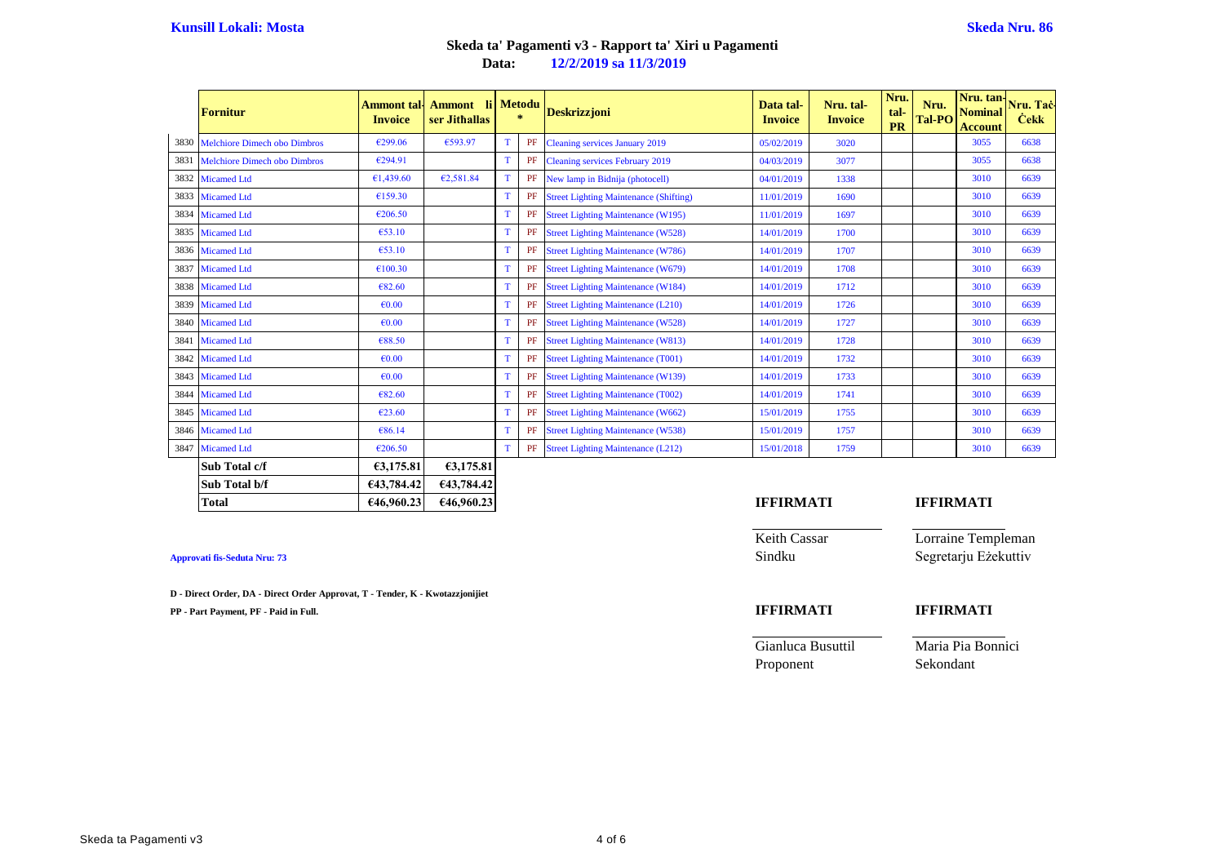|      | <b>Fornitur</b>                   | Ammont tal·l<br><b>Invoice</b> | <b>Ammont</b><br>ser Jithallas |   | li Metodu<br>$\ast$ | <b>Deskrizzjoni</b>                           | Data tal-<br><b>Invoice</b> | Nru. tal-<br><b>Invoice</b> | Nru.<br>tal-<br><b>PR</b> | Nru.<br><b>Tal-PO</b> | Nru. tan-<br><b>Nominal</b><br><b>Account</b> | Nru. Tač-<br><b>Cekk</b> |
|------|-----------------------------------|--------------------------------|--------------------------------|---|---------------------|-----------------------------------------------|-----------------------------|-----------------------------|---------------------------|-----------------------|-----------------------------------------------|--------------------------|
|      | 3830 Melchiore Dimech obo Dimbros | €299.06                        | €593.97                        | T | PF                  | <b>Cleaning services January 2019</b>         | 05/02/2019                  | 3020                        |                           |                       | 3055                                          | 6638                     |
| 3831 | Melchiore Dimech obo Dimbros      | €294.91                        |                                | T | PF                  | <b>Cleaning services February 2019</b>        | 04/03/2019                  | 3077                        |                           |                       | 3055                                          | 6638                     |
| 3832 | <b>Micamed Ltd</b>                | €1.439.60                      | €2,581.84                      | T | PF                  | New lamp in Bidnija (photocell)               | 04/01/2019                  | 1338                        |                           |                       | 3010                                          | 6639                     |
| 3833 | <b>Micamed Ltd</b>                | €159.30                        |                                | T | PF                  | <b>Street Lighting Maintenance (Shifting)</b> | 11/01/2019                  | 1690                        |                           |                       | 3010                                          | 6639                     |
| 3834 | <b>Micamed Ltd</b>                | €206.50                        |                                | T | PF                  | <b>Street Lighting Maintenance (W195)</b>     | 11/01/2019                  | 1697                        |                           |                       | 3010                                          | 6639                     |
| 3835 | <b>Micamed Ltd</b>                | €53.10                         |                                | T | PF                  | <b>Street Lighting Maintenance (W528)</b>     | 14/01/2019                  | 1700                        |                           |                       | 3010                                          | 6639                     |
|      | 3836 Micamed Ltd                  | €53.10                         |                                | T | PF                  | <b>Street Lighting Maintenance (W786)</b>     | 14/01/2019                  | 1707                        |                           |                       | 3010                                          | 6639                     |
| 3837 | <b>Micamed Ltd</b>                | €100.30                        |                                | T | PF                  | <b>Street Lighting Maintenance (W679)</b>     | 14/01/2019                  | 1708                        |                           |                       | 3010                                          | 6639                     |
|      | 3838 Micamed Ltd                  | €82.60                         |                                | T | PF                  | <b>Street Lighting Maintenance (W184)</b>     | 14/01/2019                  | 1712                        |                           |                       | 3010                                          | 6639                     |
| 3839 | <b>Micamed Ltd</b>                | €0.00                          |                                | T | PF                  | <b>Street Lighting Maintenance (L210)</b>     | 14/01/2019                  | 1726                        |                           |                       | 3010                                          | 6639                     |
| 3840 | <b>Micamed Ltd</b>                | €0.00                          |                                | T | PF                  | <b>Street Lighting Maintenance (W528)</b>     | 14/01/2019                  | 1727                        |                           |                       | 3010                                          | 6639                     |
| 3841 | <b>Micamed Ltd</b>                | €88.50                         |                                | T | PF                  | <b>Street Lighting Maintenance (W813)</b>     | 14/01/2019                  | 1728                        |                           |                       | 3010                                          | 6639                     |
| 3842 | <b>Micamed Ltd</b>                | €0.00                          |                                | T | PF                  | <b>Street Lighting Maintenance (T001)</b>     | 14/01/2019                  | 1732                        |                           |                       | 3010                                          | 6639                     |
|      | 3843 Micamed Ltd                  | €0.00                          |                                | T | PF                  | <b>Street Lighting Maintenance (W139)</b>     | 14/01/2019                  | 1733                        |                           |                       | 3010                                          | 6639                     |
| 3844 | <b>Micamed Ltd</b>                | €82.60                         |                                | T | PF                  | <b>Street Lighting Maintenance (T002)</b>     | 14/01/2019                  | 1741                        |                           |                       | 3010                                          | 6639                     |
| 3845 | <b>Micamed Ltd</b>                | €23.60                         |                                | T | PF                  | <b>Street Lighting Maintenance (W662)</b>     | 15/01/2019                  | 1755                        |                           |                       | 3010                                          | 6639                     |
|      | 3846 Micamed Ltd                  | €86.14                         |                                | T | PF                  | <b>Street Lighting Maintenance (W538)</b>     | 15/01/2019                  | 1757                        |                           |                       | 3010                                          | 6639                     |
| 3847 | <b>Micamed Ltd</b>                | €206.50                        |                                | T | PF                  | <b>Street Lighting Maintenance (L212)</b>     | 15/01/2018                  | 1759                        |                           |                       | 3010                                          | 6639                     |
|      | Sub Total c/f                     | €3,175.81                      | €3,175.81                      |   |                     |                                               |                             |                             |                           |                       |                                               |                          |
|      | . <i>. .</i>                      | $0.12 - 0.1$ $10$              | $0.12 - 0.1$                   |   |                     |                                               |                             |                             |                           |                       |                                               |                          |

| мнеаппед пла  | <u>czuu.ju</u> |            | -111 | Succi Lighting Mannenance $(L212)$ | 1 <i>3/</i> 01/2010 | 1139 |                  | <b>JUIU</b> |
|---------------|----------------|------------|------|------------------------------------|---------------------|------|------------------|-------------|
| Sub Total c/f | €3,175,81      | €3,175.81  |      |                                    |                     |      |                  |             |
| Sub Total b/f | €43,784.42     | £43,784,42 |      |                                    |                     |      |                  |             |
| <b>Total</b>  | €46,960.23     | €46,960.23 |      |                                    | <b>IFFIRMATI</b>    |      | <b>IFFIRMATI</b> |             |

Keith Cassar Lorraine Templeman **Approvati fis-Seduta Nru: 73** Sindku Segretarju Eżekuttiv

**PP - Part Payment, PF - Paid in Full. IFFIRMATI IFFIRMATI**

Gianluca Busuttil Maria Pia Bonnici Proponent Sekondant

**D - Direct Order, DA - Direct Order Approvat, T - Tender, K - Kwotazzjonijiet**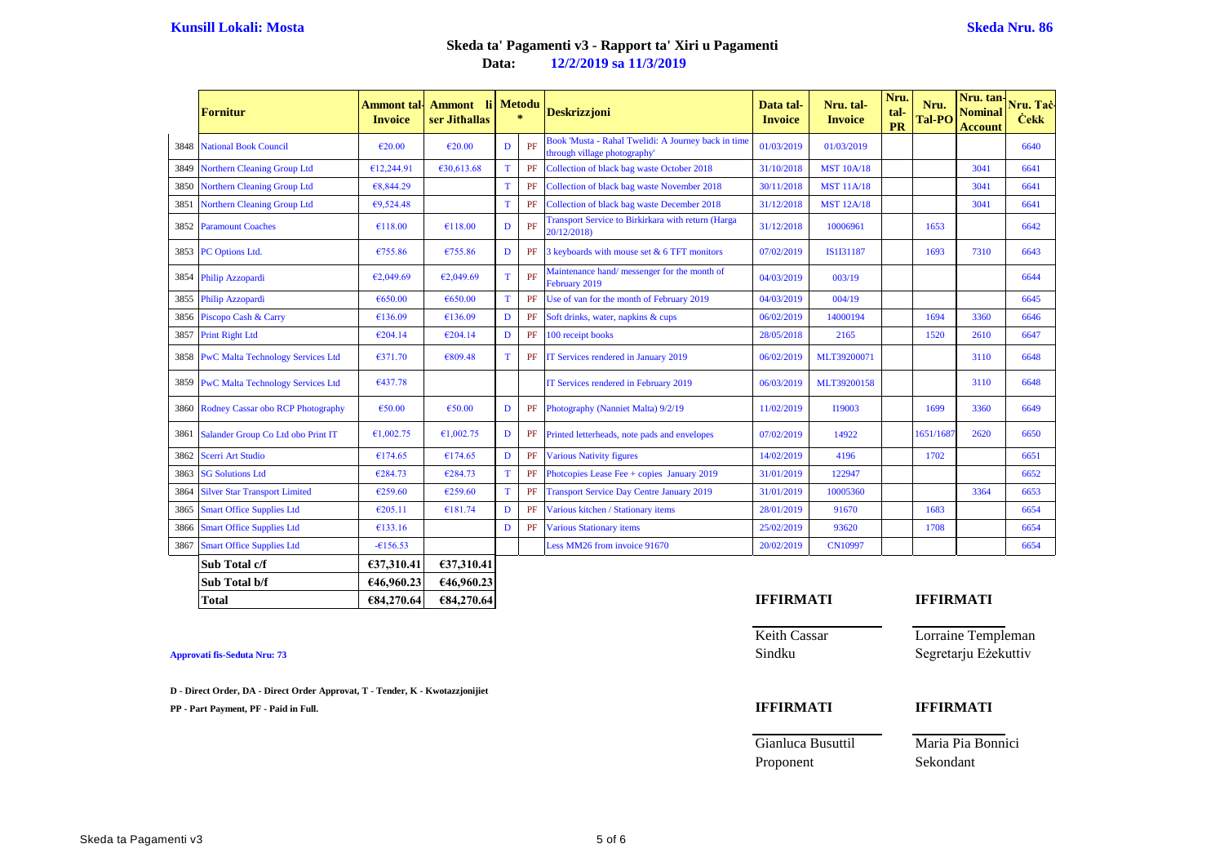|      | <b>Fornitur</b>                         | Ammont tal<br><b>Invoice</b> | Ammont li<br>ser Jithallas |             | <b>Metodu</b><br>$\ast$ | <b>Deskrizzjoni</b>                                                                | Data tal-<br><b>Invoice</b> | Nru. tal-<br><b>Invoice</b> | Nru.<br>tal-<br><b>PR</b> | Nru.<br><b>Tal-PO</b> | Nru. tan-<br><b>Nominal</b><br><b>Account</b> | Nru. Tac-<br><b>Čekk</b> |
|------|-----------------------------------------|------------------------------|----------------------------|-------------|-------------------------|------------------------------------------------------------------------------------|-----------------------------|-----------------------------|---------------------------|-----------------------|-----------------------------------------------|--------------------------|
|      | 3848 National Book Council              | €20.00                       | €20.00                     | D           | PF                      | Book 'Musta - Rahal Twelidi: A Journey back in time<br>through village photography | 01/03/2019                  | 01/03/2019                  |                           |                       |                                               | 6640                     |
| 3849 | <b>Northern Cleaning Group Ltd</b>      | €12,244.91                   | €30,613.68                 | $\mathbf T$ | PF                      | Collection of black bag waste October 2018                                         | 31/10/2018                  | <b>MST 10A/18</b>           |                           |                       | 3041                                          | 6641                     |
| 3850 | <b>Northern Cleaning Group Ltd</b>      | €8,844.29                    |                            | $\mathbf T$ | PF                      | Collection of black bag waste November 2018                                        | 30/11/2018                  | <b>MST 11A/18</b>           |                           |                       | 3041                                          | 6641                     |
| 3851 | <b>Northern Cleaning Group Ltd</b>      | €9,524.48                    |                            | T           | PF                      | Collection of black bag waste December 2018                                        | 31/12/2018                  | <b>MST 12A/18</b>           |                           |                       | 3041                                          | 6641                     |
|      | 3852 Paramount Coaches                  | €118.00                      | €118.00                    | D           | PF                      | Transport Service to Birkirkara with return (Harga<br>20/12/2018)                  | 31/12/2018                  | 10006961                    |                           | 1653                  |                                               | 6642                     |
|      | 3853 PC Options Ltd.                    | €755.86                      | €755.86                    | $\mathbf D$ | PF                      | 3 keyboards with mouse set $& 6$ TFT monitors                                      | 07/02/2019                  | IS1I31187                   |                           | 1693                  | 7310                                          | 6643                     |
|      | 3854 Philip Azzopardi                   | E2,049.69                    | E2,049.69                  | T           | PF                      | Maintenance hand/ messenger for the month of<br>February 2019                      | 04/03/2019                  | 003/19                      |                           |                       |                                               | 6644                     |
|      | 3855 Philip Azzopardi                   | €650.00                      | €650.00                    | T           | PF                      | Use of van for the month of February 2019                                          | 04/03/2019                  | 004/19                      |                           |                       |                                               | 6645                     |
|      | 3856 Piscopo Cash & Carry               | €136.09                      | €136.09                    | $\mathbf D$ | PF                      | Soft drinks, water, napkins & cups                                                 | 06/02/2019                  | 14000194                    |                           | 1694                  | 3360                                          | 6646                     |
|      | 3857 Print Right Ltd                    | €204.14                      | €204.14                    | $\mathbf D$ | PF                      | 100 receipt books                                                                  | 28/05/2018                  | 2165                        |                           | 1520                  | 2610                                          | 6647                     |
|      | 3858 PwC Malta Technology Services Ltd  | €371.70                      | €809.48                    | T           | PF                      | IT Services rendered in January 2019                                               | 06/02/2019                  | MLT39200071                 |                           |                       | 3110                                          | 6648                     |
|      | 3859 PwC Malta Technology Services Ltd  | €437.78                      |                            |             |                         | IT Services rendered in February 2019                                              | 06/03/2019                  | MLT39200158                 |                           |                       | 3110                                          | 6648                     |
|      | 3860 Rodney Cassar obo RCP Photography  | €50.00                       | €50.00                     | D           | PF                      | Photography (Nanniet Malta) 9/2/19                                                 | 11/02/2019                  | <b>I19003</b>               |                           | 1699                  | 3360                                          | 6649                     |
|      | 3861 Salander Group Co Ltd obo Print IT | €1,002.75                    | €1.002.75                  | D           | PF                      | Printed letterheads, note pads and envelopes                                       | 07/02/2019                  | 14922                       |                           | 1651/1687             | 2620                                          | 6650                     |
| 3862 | Scerri Art Studio                       | €174.65                      | €174.65                    | $\mathbf D$ | PF                      | <b>Various Nativity figures</b>                                                    | 14/02/2019                  | 4196                        |                           | 1702                  |                                               | 6651                     |
| 3863 | <b>SG Solutions Ltd</b>                 | €284.73                      | €284.73                    | T           | PF                      | Photopies Lease Fee + copies January 2019                                          | 31/01/2019                  | 122947                      |                           |                       |                                               | 6652                     |
| 3864 | <b>Silver Star Transport Limited</b>    | €259.60                      | €259.60                    | T           | PF                      | <b>Transport Service Day Centre January 2019</b>                                   | 31/01/2019                  | 10005360                    |                           |                       | 3364                                          | 6653                     |
| 3865 | <b>Smart Office Supplies Ltd</b>        | €205.11                      | €181.74                    | D           | PF                      | Various kitchen / Stationary items                                                 | 28/01/2019                  | 91670                       |                           | 1683                  |                                               | 6654                     |
| 3866 | <b>Smart Office Supplies Ltd</b>        | €133.16                      |                            | D           | PF                      | <b>Various Stationary items</b>                                                    | 25/02/2019                  | 93620                       |                           | 1708                  |                                               | 6654                     |
| 3867 | <b>Smart Office Supplies Ltd</b>        | $-6156.53$                   |                            |             |                         | Less MM26 from invoice 91670                                                       | 20/02/2019                  | <b>CN10997</b>              |                           |                       |                                               | 6654                     |
|      | Sub Total c/f                           | €37,310.41                   | €37,310.41                 |             |                         |                                                                                    |                             |                             |                           |                       |                                               |                          |
|      | Sub Total b/f                           | €46,960.23                   | €46,960.23                 |             |                         |                                                                                    |                             |                             |                           |                       |                                               |                          |
|      | Total                                   | €84,270.64                   | €84,270.64                 |             |                         |                                                                                    | <b>IFFIRMATI</b>            |                             |                           | <b>IFFIRMATI</b>      |                                               |                          |

**D - Direct Order, DA - Direct Order Approvat, T - Tender, K - Kwotazzjonijiet**

# Keith Cassar Lorraine Templeman **Approvati fis-Seduta Nru: 73** Sindku Segretarju Eżekuttiv **PP - Part Payment, PF - Paid in Full. IFFIRMATI IFFIRMATI** Gianluca Busuttil Maria Pia Bonnici

Proponent Sekondant